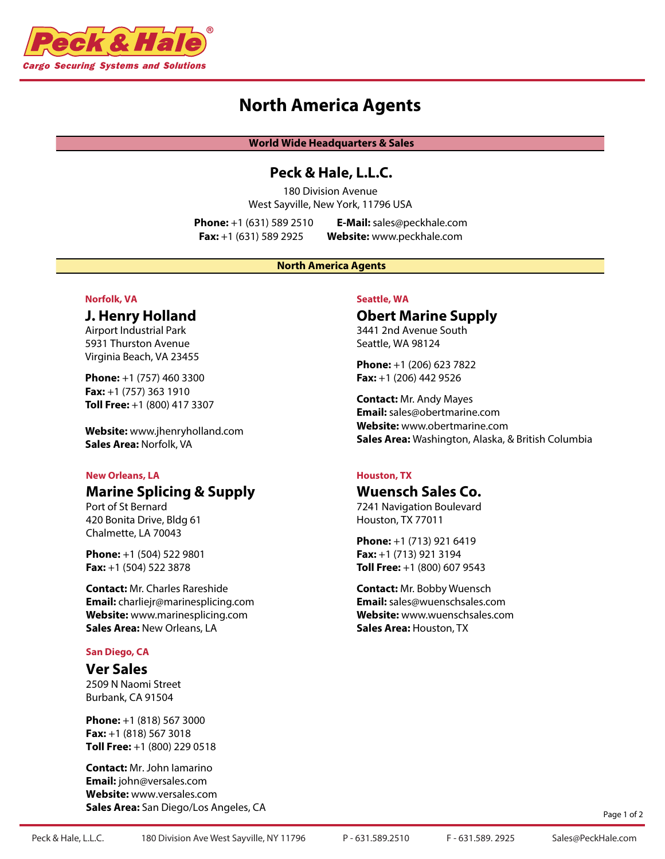

# **North America Agents**

**World Wide Headquarters & Sales**

## **Peck & Hale, L.L.C.**

180 Division Avenue West Sayville, New York, 11796 USA

**Phone:** +1 (631) 589 2510 **E-Mail:** sales@peckhale.com **Fax:** +1 (631) 589 2925 **Website:** www.peckhale.com

#### **North America Agents**

### **Norfolk, VA**

### **J. Henry Holland**

Airport Industrial Park 5931 Thurston Avenue Virginia Beach, VA 23455

**Phone:** +1 (757) 460 3300 **Fax:** +1 (757) 363 1910 **Toll Free:** +1 (800) 417 3307

**Website:** www.jhenryholland.com **Sales Area:** Norfolk, VA

#### **New Orleans, LA**

# **Marine Splicing & Supply**

Port of St Bernard 420 Bonita Drive, Bldg 61 Chalmette, LA 70043

**Phone:** +1 (504) 522 9801 **Fax:** +1 (504) 522 3878

**Contact:** Mr. Charles Rareshide **Email:** charliejr@marinesplicing.com **Website:** www.marinesplicing.com **Sales Area:** New Orleans, LA

#### **San Diego, CA**

### **Ver Sales**

2509 N Naomi Street Burbank, CA 91504

**Phone:** +1 (818) 567 3000 **Fax:** +1 (818) 567 3018 **Toll Free:** +1 (800) 229 0518

**Contact:** Mr. John Iamarino **Email:** john@versales.com **Website:** www.versales.com **Sales Area:** San Diego/Los Angeles, CA

#### **Seattle, WA**

# **Obert Marine Supply**

3441 2nd Avenue South Seattle, WA 98124

**Phone:** +1 (206) 623 7822 **Fax:** +1 (206) 442 9526

**Contact:** Mr. Andy Mayes **Email:** sales@obertmarine.com **Website:** www.obertmarine.com **Sales Area:** Washington, Alaska, & British Columbia

### **Houston, TX**

## **Wuensch Sales Co.**

7241 Navigation Boulevard Houston, TX 77011

**Phone:** +1 (713) 921 6419 **Fax:** +1 (713) 921 3194 **Toll Free:** +1 (800) 607 9543

**Contact:** Mr. Bobby Wuensch **Email:** sales@wuenschsales.com **Website:** www.wuenschsales.com **Sales Area:** Houston, TX